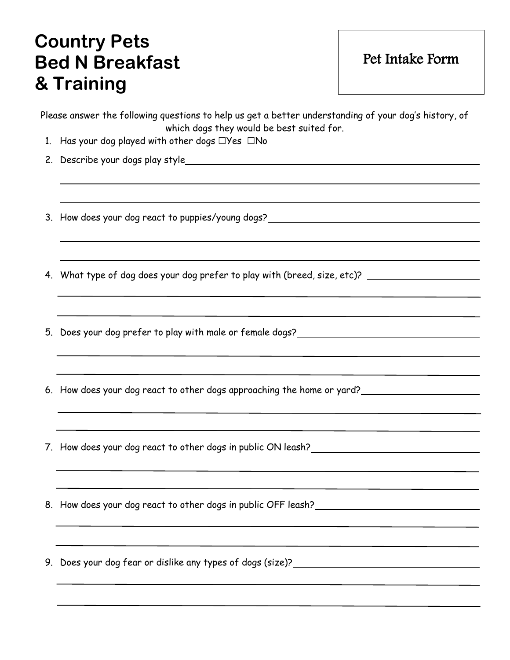## **Country Pets Bed N Breakfast & Training**

Pet Intake Form

| Please answer the following questions to help us get a better understanding of your dog's history, of<br>which dogs they would be best suited for. |
|----------------------------------------------------------------------------------------------------------------------------------------------------|
| 1. Has your dog played with other dogs $\Box$ Yes $\Box$ No                                                                                        |
|                                                                                                                                                    |
| 3. How does your dog react to puppies/young dogs?_______________________________                                                                   |
| 4. What type of dog does your dog prefer to play with (breed, size, etc)?                                                                          |
| 5. Does your dog prefer to play with male or female dogs?_______________________                                                                   |
| 6. How does your dog react to other dogs approaching the home or yard?                                                                             |
| 7. How does your dog react to other dogs in public ON leash?____________________                                                                   |
| 8. How does your dog react to other dogs in public OFF leash?                                                                                      |
| 9. Does your dog fear or dislike any types of dogs (size)? ______________________                                                                  |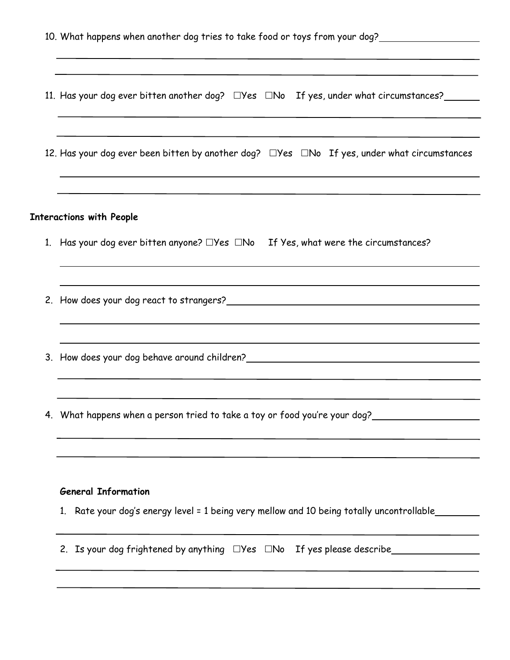| 11. Has your dog ever bitten another dog? $\square$ Yes $\square$ No If yes, under what circumstances?<br>12. Has your dog ever been bitten by another dog? $\square$ Yes $\square$ No If yes, under what circumstances<br><b>Interactions with People</b><br>1. Has your dog ever bitten anyone? $\Box$ Yes $\Box$ No If Yes, what were the circumstances? |  |  |  |  |  |
|-------------------------------------------------------------------------------------------------------------------------------------------------------------------------------------------------------------------------------------------------------------------------------------------------------------------------------------------------------------|--|--|--|--|--|
|                                                                                                                                                                                                                                                                                                                                                             |  |  |  |  |  |
|                                                                                                                                                                                                                                                                                                                                                             |  |  |  |  |  |
|                                                                                                                                                                                                                                                                                                                                                             |  |  |  |  |  |
|                                                                                                                                                                                                                                                                                                                                                             |  |  |  |  |  |
|                                                                                                                                                                                                                                                                                                                                                             |  |  |  |  |  |
|                                                                                                                                                                                                                                                                                                                                                             |  |  |  |  |  |
| 4. What happens when a person tried to take a toy or food you're your dog?__________________________                                                                                                                                                                                                                                                        |  |  |  |  |  |
| <b>General Information</b><br>1. Rate your dog's energy level = 1 being very mellow and 10 being totally uncontrollable_______                                                                                                                                                                                                                              |  |  |  |  |  |
|                                                                                                                                                                                                                                                                                                                                                             |  |  |  |  |  |
|                                                                                                                                                                                                                                                                                                                                                             |  |  |  |  |  |